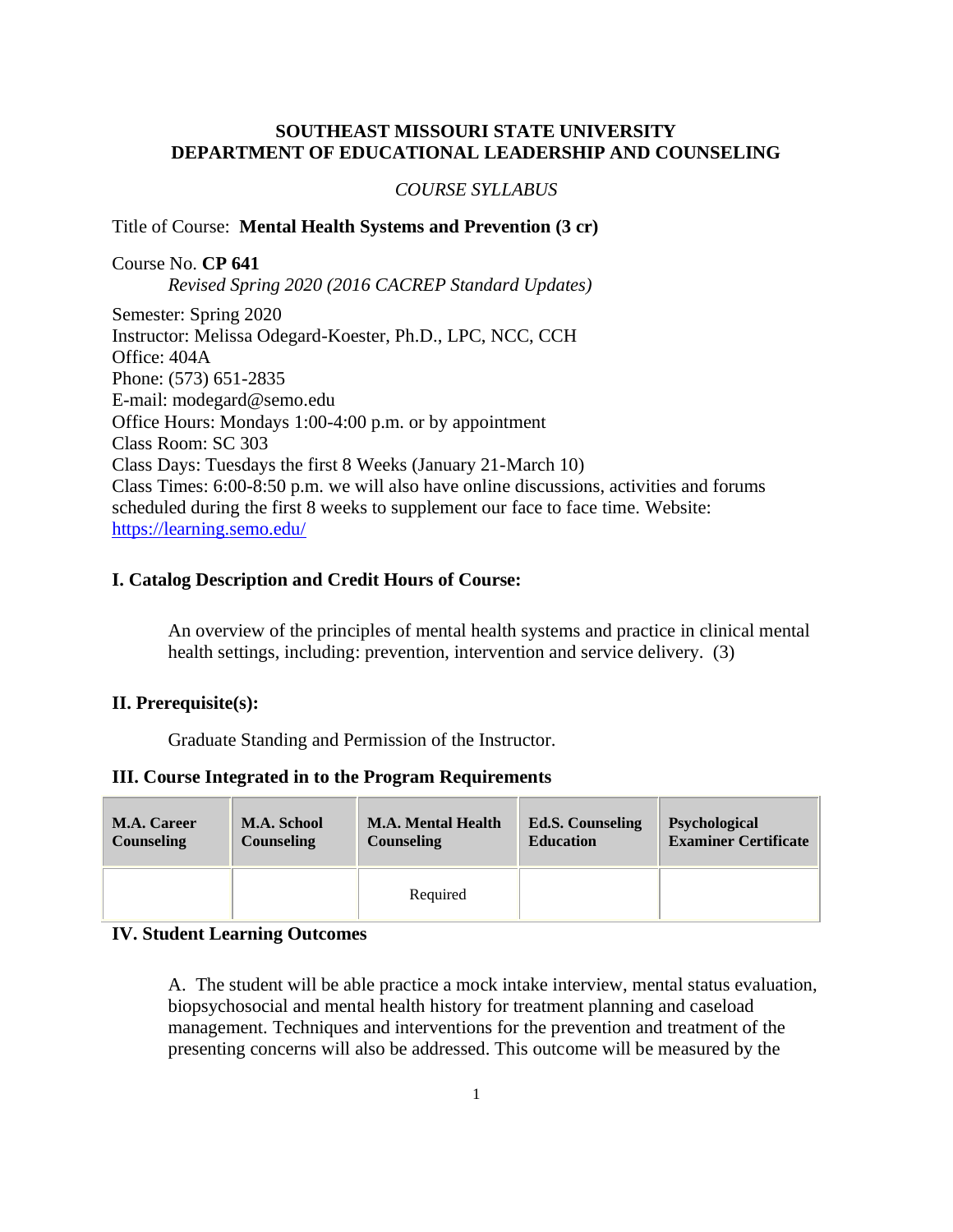# **SOUTHEAST MISSOURI STATE UNIVERSITY DEPARTMENT OF EDUCATIONAL LEADERSHIP AND COUNSELING**

### *COURSE SYLLABUS*

### Title of Course: **Mental Health Systems and Prevention (3 cr)**

Course No. **CP 641** *Revised Spring 2020 (2016 CACREP Standard Updates)* Semester: Spring 2020 Instructor: Melissa Odegard-Koester, Ph.D., LPC, NCC, CCH

Office: 404A Phone: (573) 651-2835 E-mail: modegard@semo.edu Office Hours: Mondays 1:00-4:00 p.m. or by appointment Class Room: SC 303 Class Days: Tuesdays the first 8 Weeks (January 21-March 10) Class Times: 6:00-8:50 p.m. we will also have online discussions, activities and forums scheduled during the first 8 weeks to supplement our face to face time. Website: <https://learning.semo.edu/>

#### **I. Catalog Description and Credit Hours of Course:**

An overview of the principles of mental health systems and practice in clinical mental health settings, including: prevention, intervention and service delivery. (3)

### **II. Prerequisite(s):**

Graduate Standing and Permission of the Instructor.

#### **III. Course Integrated in to the Program Requirements**

| <b>M.A. Career</b> | M.A. School       | <b>M.A. Mental Health</b> | <b>Ed.S. Counseling</b> | <b>Psychological</b>        |
|--------------------|-------------------|---------------------------|-------------------------|-----------------------------|
| <b>Counseling</b>  | <b>Counseling</b> | <b>Counseling</b>         | <b>Education</b>        | <b>Examiner Certificate</b> |
|                    |                   | Required                  |                         |                             |

### **IV. Student Learning Outcomes**

A. The student will be able practice a mock intake interview, mental status evaluation, biopsychosocial and mental health history for treatment planning and caseload management. Techniques and interventions for the prevention and treatment of the presenting concerns will also be addressed. This outcome will be measured by the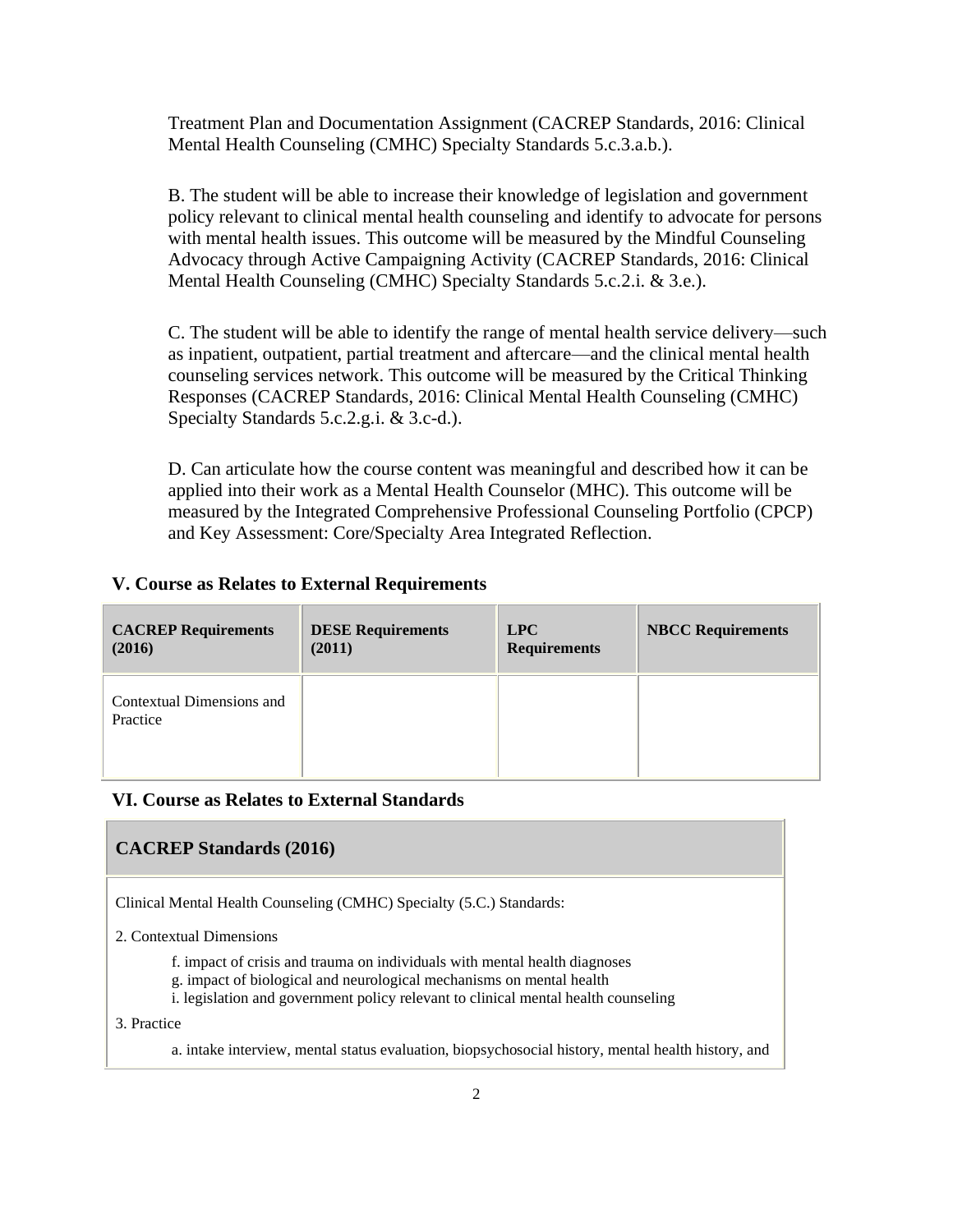Treatment Plan and Documentation Assignment (CACREP Standards, 2016: Clinical Mental Health Counseling (CMHC) Specialty Standards 5.c.3.a.b.).

B. The student will be able to increase their knowledge of legislation and government policy relevant to clinical mental health counseling and identify to advocate for persons with mental health issues. This outcome will be measured by the Mindful Counseling Advocacy through Active Campaigning Activity (CACREP Standards, 2016: Clinical Mental Health Counseling (CMHC) Specialty Standards 5.c.2.i. & 3.e.).

C. The student will be able to identify the range of mental health service delivery—such as inpatient, outpatient, partial treatment and aftercare—and the clinical mental health counseling services network. This outcome will be measured by the Critical Thinking Responses (CACREP Standards, 2016: Clinical Mental Health Counseling (CMHC) Specialty Standards 5.c.2.g.i. & 3.c-d.).

D. Can articulate how the course content was meaningful and described how it can be applied into their work as a Mental Health Counselor (MHC). This outcome will be measured by the Integrated Comprehensive Professional Counseling Portfolio (CPCP) and Key Assessment: Core/Specialty Area Integrated Reflection.

### **V. Course as Relates to External Requirements**

| <b>CACREP Requirements</b>            | <b>DESE Requirements</b> | LPC                 | <b>NBCC Requirements</b> |
|---------------------------------------|--------------------------|---------------------|--------------------------|
| (2016)                                | (2011)                   | <b>Requirements</b> |                          |
| Contextual Dimensions and<br>Practice |                          |                     |                          |

#### **VI. Course as Relates to External Standards**

#### **CACREP Standards (2016)**

Clinical Mental Health Counseling (CMHC) Specialty (5.C.) Standards:

2. Contextual Dimensions

- f. impact of crisis and trauma on individuals with mental health diagnoses
- g. impact of biological and neurological mechanisms on mental health
- i. legislation and government policy relevant to clinical mental health counseling

3. Practice

a. intake interview, mental status evaluation, biopsychosocial history, mental health history, and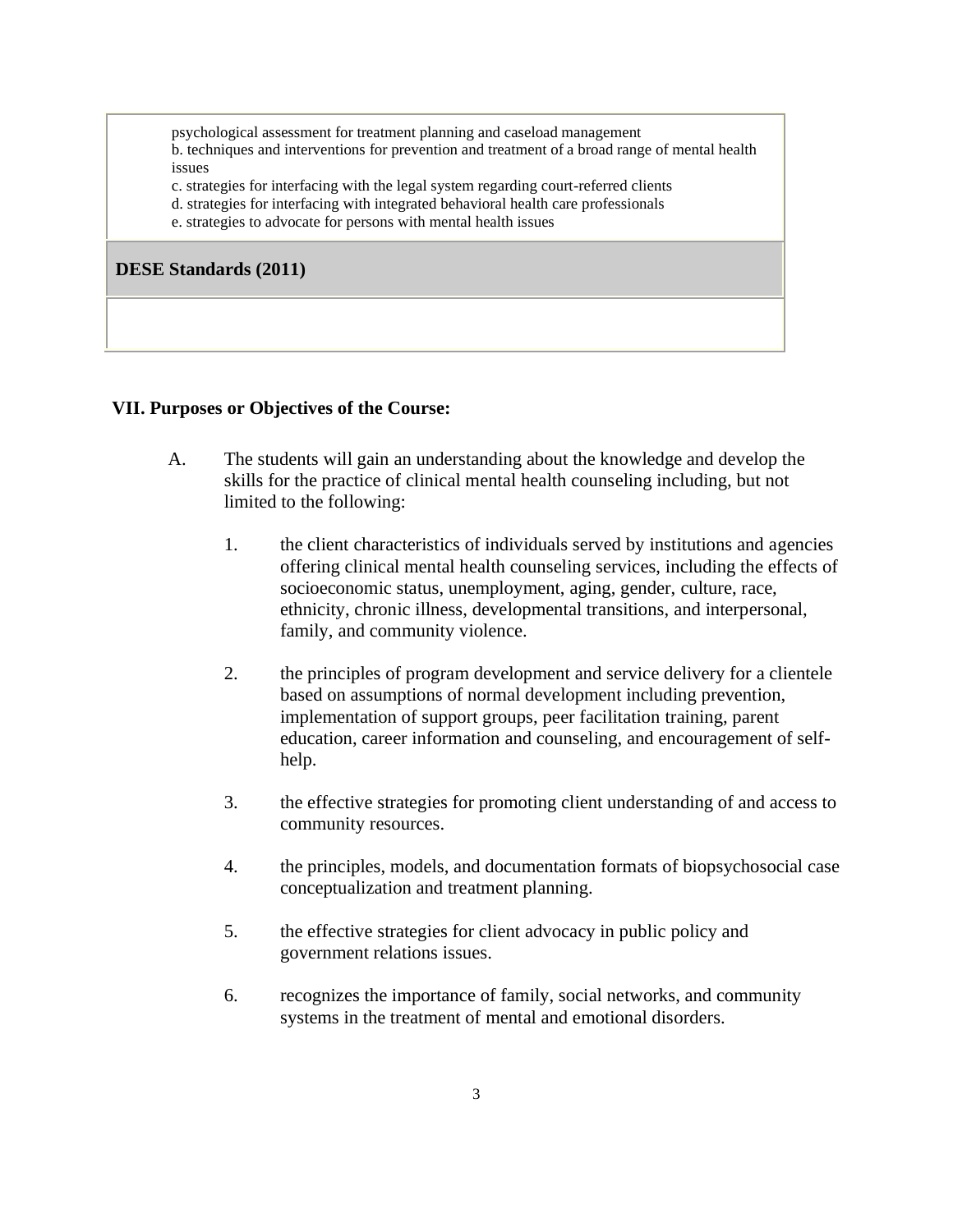psychological assessment for treatment planning and caseload management b. techniques and interventions for prevention and treatment of a broad range of mental health issues

c. strategies for interfacing with the legal system regarding court-referred clients

- d. strategies for interfacing with integrated behavioral health care professionals
- e. strategies to advocate for persons with mental health issues

**DESE Standards (2011)**

### **VII. Purposes or Objectives of the Course:**

- A. The students will gain an understanding about the knowledge and develop the skills for the practice of clinical mental health counseling including, but not limited to the following:
	- 1. the client characteristics of individuals served by institutions and agencies offering clinical mental health counseling services, including the effects of socioeconomic status, unemployment, aging, gender, culture, race, ethnicity, chronic illness, developmental transitions, and interpersonal, family, and community violence.
	- 2. the principles of program development and service delivery for a clientele based on assumptions of normal development including prevention, implementation of support groups, peer facilitation training, parent education, career information and counseling, and encouragement of selfhelp.
	- 3. the effective strategies for promoting client understanding of and access to community resources.
	- 4. the principles, models, and documentation formats of biopsychosocial case conceptualization and treatment planning.
	- 5. the effective strategies for client advocacy in public policy and government relations issues.
	- 6. recognizes the importance of family, social networks, and community systems in the treatment of mental and emotional disorders.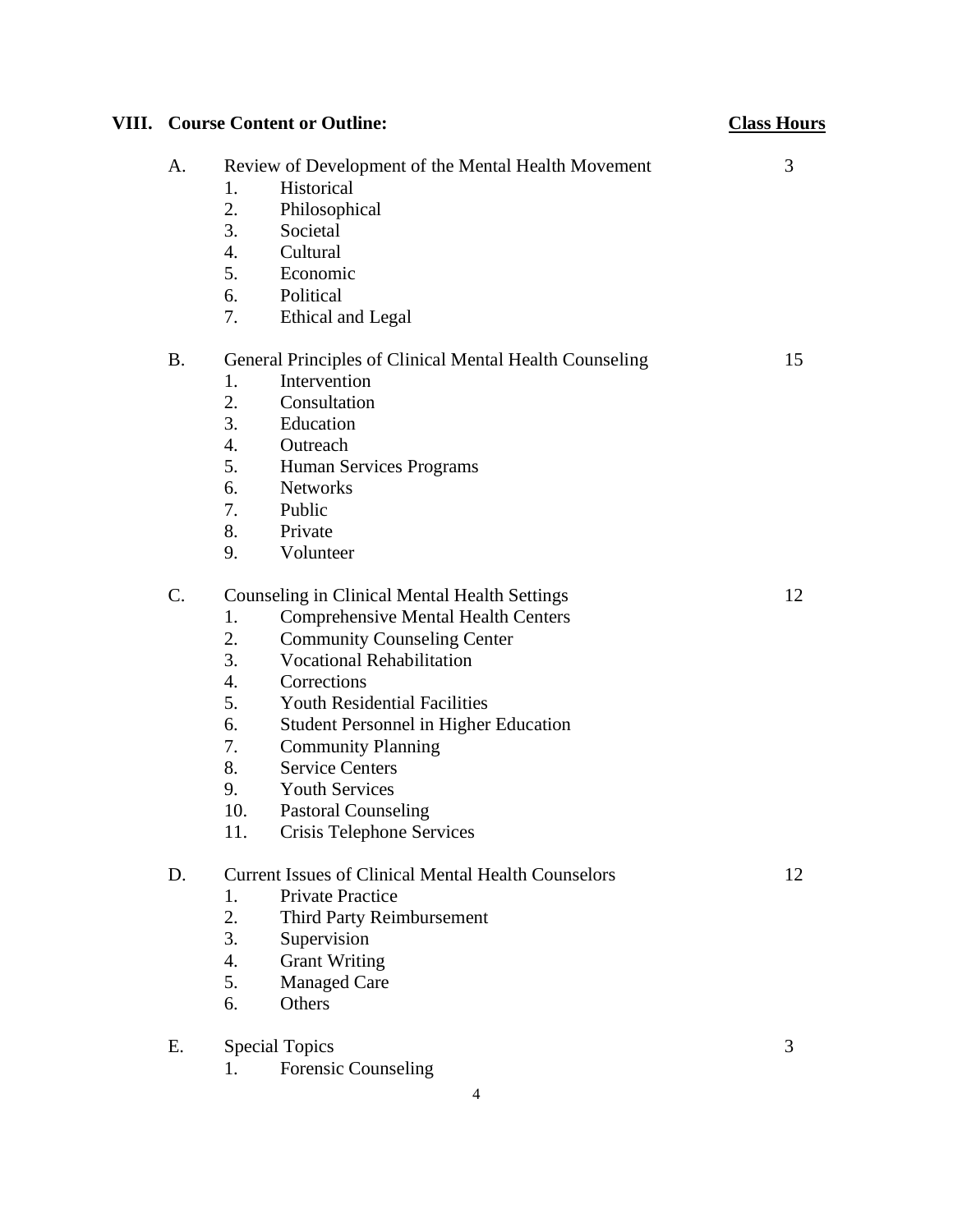| <b>VIII.</b> Course Content or Outline:                   | <b>Class Hours</b>                                         |    |
|-----------------------------------------------------------|------------------------------------------------------------|----|
| A.<br>Review of Development of the Mental Health Movement |                                                            | 3  |
|                                                           | Historical<br>1.                                           |    |
|                                                           | 2.<br>Philosophical                                        |    |
|                                                           | 3.<br>Societal                                             |    |
|                                                           | 4.<br>Cultural                                             |    |
|                                                           | 5.<br>Economic                                             |    |
|                                                           | 6.<br>Political                                            |    |
|                                                           | 7.<br>Ethical and Legal                                    |    |
| <b>B.</b>                                                 | General Principles of Clinical Mental Health Counseling    | 15 |
|                                                           | Intervention<br>1.                                         |    |
|                                                           | 2.<br>Consultation                                         |    |
|                                                           | 3.<br>Education                                            |    |
|                                                           | 4.<br>Outreach                                             |    |
|                                                           | 5.<br>Human Services Programs                              |    |
|                                                           | 6.<br><b>Networks</b>                                      |    |
|                                                           | Public<br>7.                                               |    |
|                                                           | 8.<br>Private                                              |    |
|                                                           | 9.<br>Volunteer                                            |    |
| $\mathcal{C}$ .                                           | <b>Counseling in Clinical Mental Health Settings</b>       | 12 |
|                                                           | <b>Comprehensive Mental Health Centers</b><br>1.           |    |
|                                                           | 2.<br><b>Community Counseling Center</b>                   |    |
|                                                           | 3.<br><b>Vocational Rehabilitation</b>                     |    |
|                                                           | 4.<br>Corrections                                          |    |
|                                                           | 5.<br><b>Youth Residential Facilities</b>                  |    |
|                                                           | Student Personnel in Higher Education<br>6.                |    |
|                                                           | 7.<br><b>Community Planning</b>                            |    |
|                                                           | 8.<br><b>Service Centers</b>                               |    |
|                                                           | <b>Youth Services</b><br>9.                                |    |
|                                                           | <b>Pastoral Counseling</b><br>10.                          |    |
|                                                           | 11.<br>Crisis Telephone Services                           |    |
| D.                                                        | <b>Current Issues of Clinical Mental Health Counselors</b> | 12 |
|                                                           | <b>Private Practice</b><br>1.                              |    |
|                                                           | 2.<br>Third Party Reimbursement                            |    |
|                                                           | 3.<br>Supervision                                          |    |
|                                                           | <b>Grant Writing</b><br>4.                                 |    |
|                                                           | 5.<br><b>Managed Care</b>                                  |    |
|                                                           | Others<br>6.                                               |    |
| Ε.                                                        | <b>Special Topics</b>                                      | 3  |
|                                                           | <b>Forensic Counseling</b><br>1.                           |    |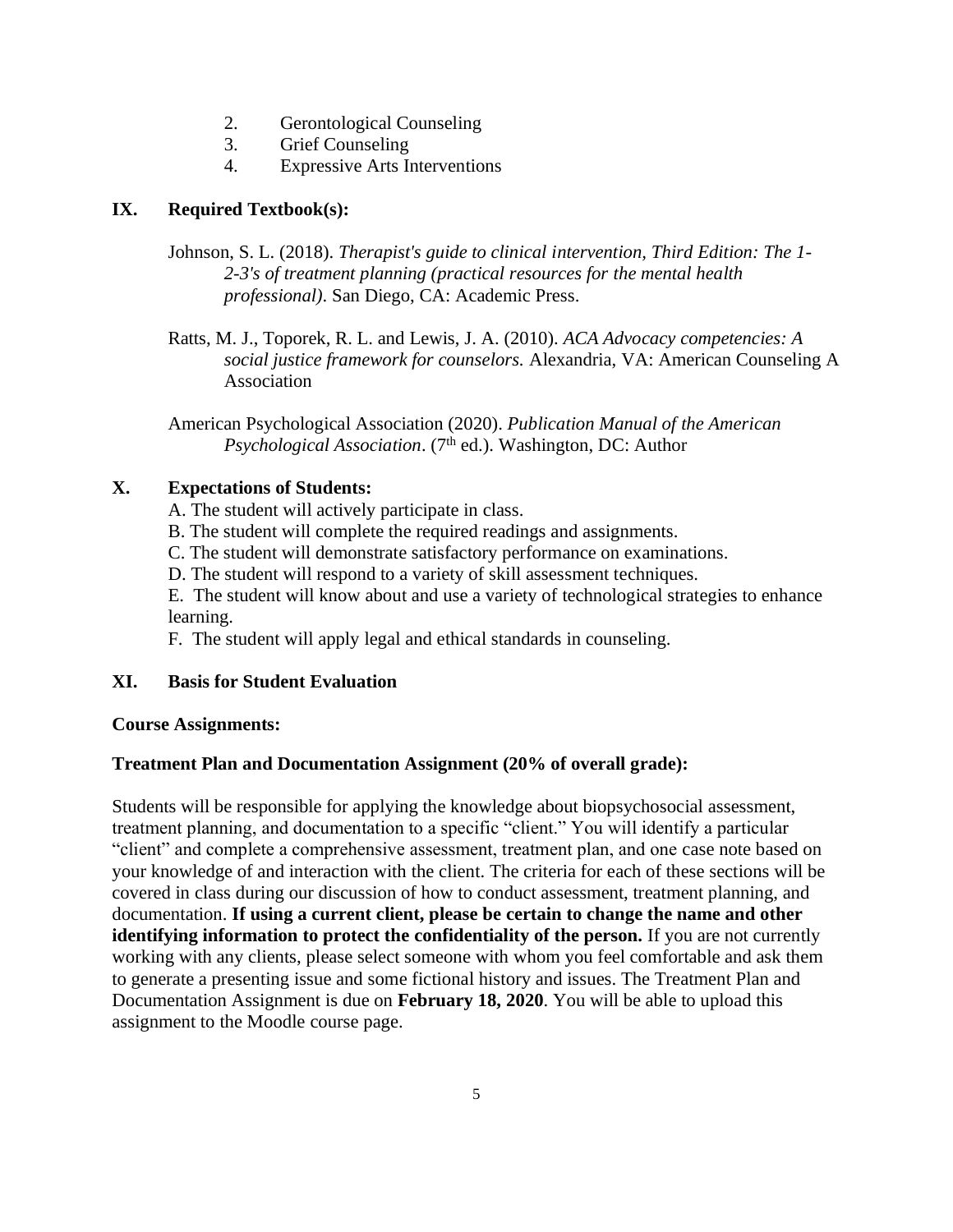- 2. Gerontological Counseling
- 3. Grief Counseling
- 4. Expressive Arts Interventions

# **IX. Required Textbook(s):**

- Johnson, S. L. (2018). *Therapist's guide to clinical intervention, Third Edition: The 1- 2-3's of treatment planning (practical resources for the mental health professional)*. San Diego, CA: Academic Press.
- Ratts, M. J., Toporek, R. L. and Lewis, J. A. (2010). *ACA Advocacy competencies: A social justice framework for counselors.* Alexandria, VA: American Counseling A Association

American Psychological Association (2020). *Publication Manual of the American* Psychological Association. (7<sup>th</sup> ed.). Washington, DC: Author

# **X. Expectations of Students:**

A. The student will actively participate in class.

- B. The student will complete the required readings and assignments.
- C. The student will demonstrate satisfactory performance on examinations.
- D. The student will respond to a variety of skill assessment techniques.

E. The student will know about and use a variety of technological strategies to enhance learning.

F. The student will apply legal and ethical standards in counseling.

# **XI. Basis for Student Evaluation**

### **Course Assignments:**

# **Treatment Plan and Documentation Assignment (20% of overall grade):**

Students will be responsible for applying the knowledge about biopsychosocial assessment, treatment planning, and documentation to a specific "client." You will identify a particular "client" and complete a comprehensive assessment, treatment plan, and one case note based on your knowledge of and interaction with the client. The criteria for each of these sections will be covered in class during our discussion of how to conduct assessment, treatment planning, and documentation. **If using a current client, please be certain to change the name and other identifying information to protect the confidentiality of the person.** If you are not currently working with any clients, please select someone with whom you feel comfortable and ask them to generate a presenting issue and some fictional history and issues. The Treatment Plan and Documentation Assignment is due on **February 18, 2020**. You will be able to upload this assignment to the Moodle course page.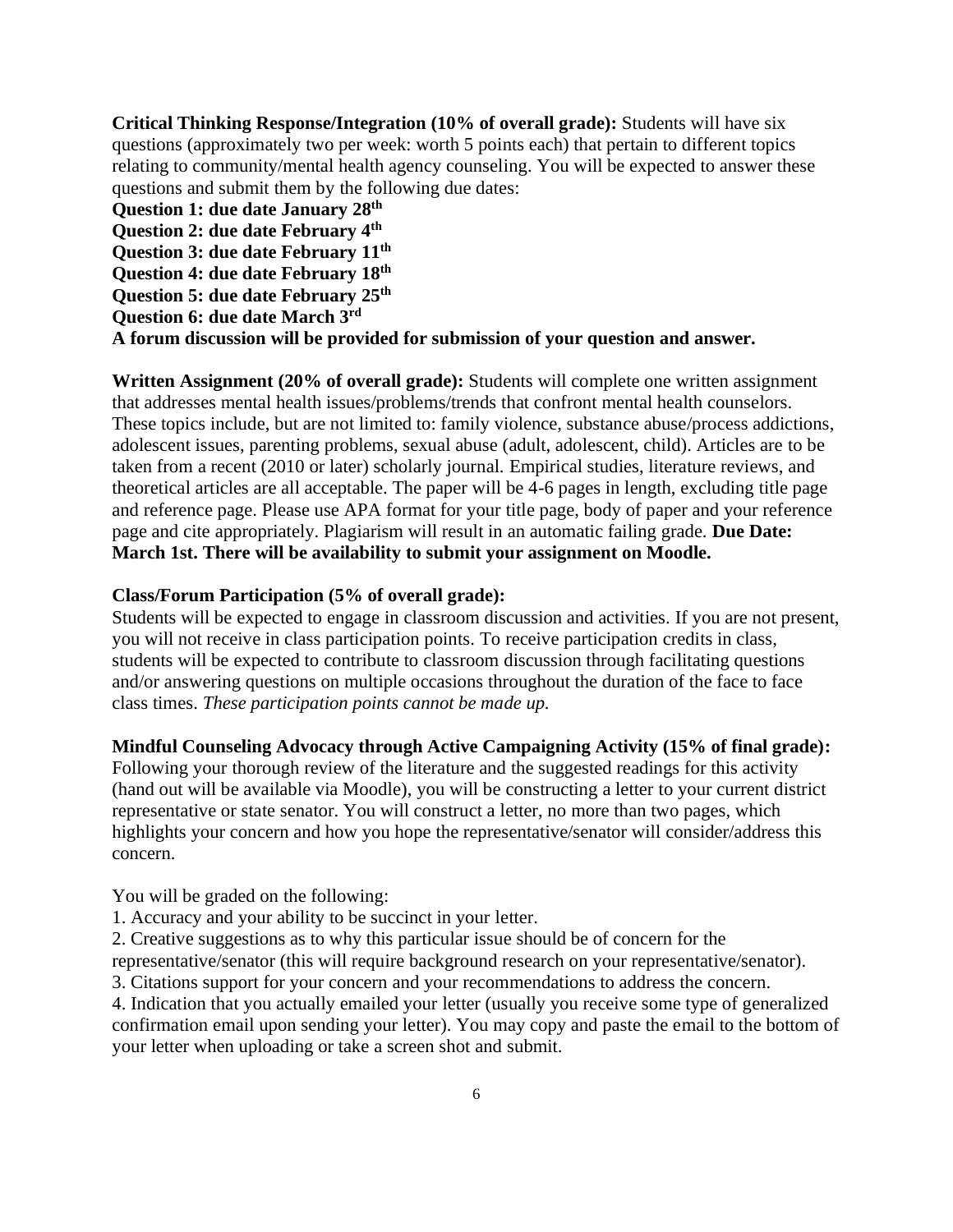**Critical Thinking Response/Integration (10% of overall grade):** Students will have six questions (approximately two per week: worth 5 points each) that pertain to different topics relating to community/mental health agency counseling. You will be expected to answer these questions and submit them by the following due dates:

**Question 1: due date January 28th Question 2: due date February 4th Question 3: due date February 11th Question 4: due date February 18 th Question 5: due date February 25th Question 6: due date March 3rd**

**A forum discussion will be provided for submission of your question and answer.**

**Written Assignment (20% of overall grade):** Students will complete one written assignment that addresses mental health issues/problems/trends that confront mental health counselors. These topics include, but are not limited to: family violence, substance abuse/process addictions, adolescent issues, parenting problems, sexual abuse (adult, adolescent, child). Articles are to be taken from a recent (2010 or later) scholarly journal. Empirical studies, literature reviews, and theoretical articles are all acceptable. The paper will be 4-6 pages in length, excluding title page and reference page. Please use APA format for your title page, body of paper and your reference page and cite appropriately. Plagiarism will result in an automatic failing grade. **Due Date: March 1st. There will be availability to submit your assignment on Moodle.**

### **Class/Forum Participation (5% of overall grade):**

Students will be expected to engage in classroom discussion and activities. If you are not present, you will not receive in class participation points. To receive participation credits in class, students will be expected to contribute to classroom discussion through facilitating questions and/or answering questions on multiple occasions throughout the duration of the face to face class times. *These participation points cannot be made up.*

#### **Mindful Counseling Advocacy through Active Campaigning Activity (15% of final grade):**

Following your thorough review of the literature and the suggested readings for this activity (hand out will be available via Moodle), you will be constructing a letter to your current district representative or state senator. You will construct a letter, no more than two pages, which highlights your concern and how you hope the representative/senator will consider/address this concern.

You will be graded on the following:

1. Accuracy and your ability to be succinct in your letter.

2. Creative suggestions as to why this particular issue should be of concern for the representative/senator (this will require background research on your representative/senator).

3. Citations support for your concern and your recommendations to address the concern.

4. Indication that you actually emailed your letter (usually you receive some type of generalized confirmation email upon sending your letter). You may copy and paste the email to the bottom of your letter when uploading or take a screen shot and submit.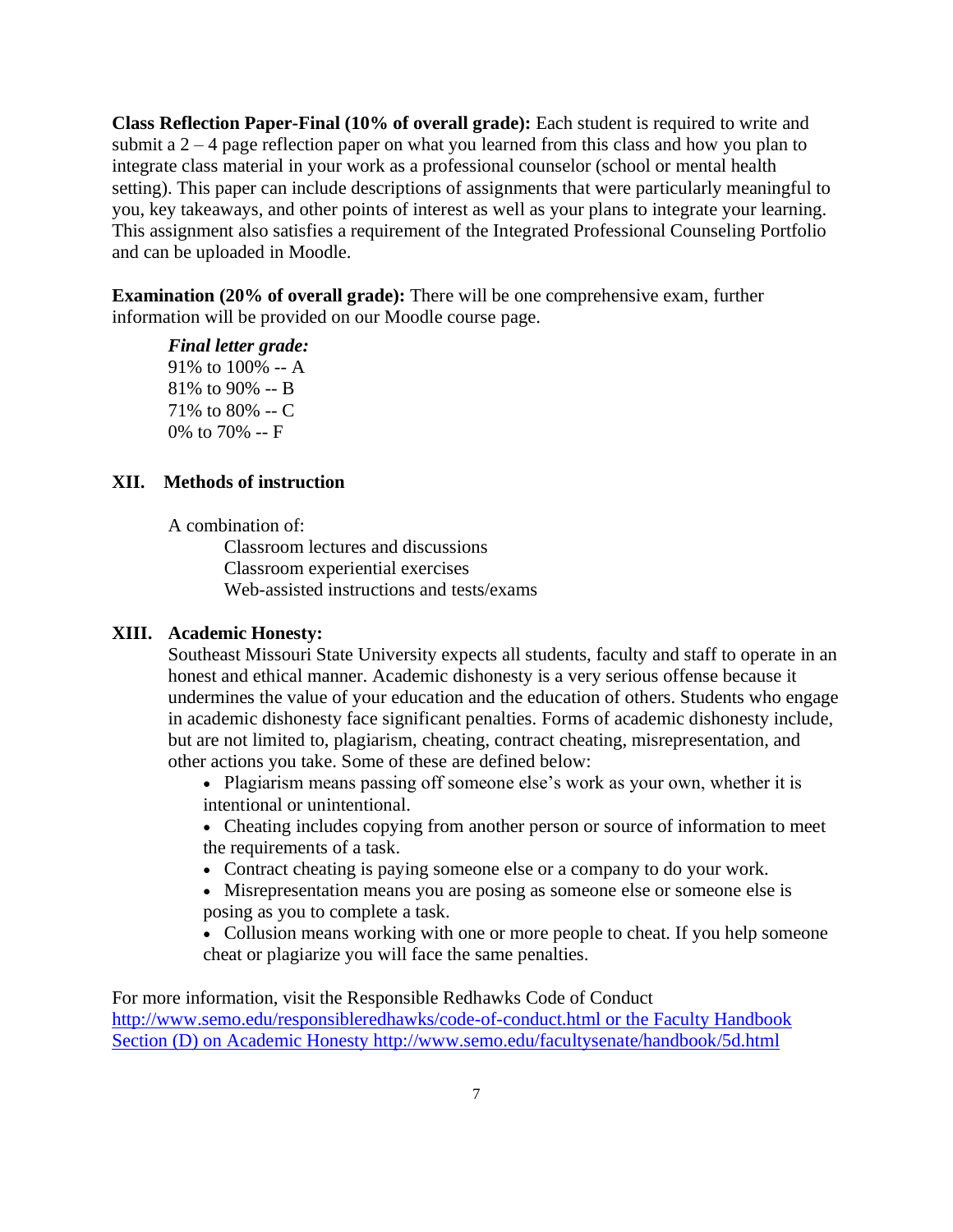**Class Reflection Paper-Final (10% of overall grade):** Each student is required to write and submit a  $2 - 4$  page reflection paper on what you learned from this class and how you plan to integrate class material in your work as a professional counselor (school or mental health setting). This paper can include descriptions of assignments that were particularly meaningful to you, key takeaways, and other points of interest as well as your plans to integrate your learning. This assignment also satisfies a requirement of the Integrated Professional Counseling Portfolio and can be uploaded in Moodle.

**Examination (20% of overall grade):** There will be one comprehensive exam, further information will be provided on our Moodle course page.

*Final letter grade:*  91% to 100% -- A 81% to 90% -- B 71% to 80% -- C 0% to 70% -- F

## **XII. Methods of instruction**

A combination of:

Classroom lectures and discussions Classroom experiential exercises Web-assisted instructions and tests/exams

## **XIII. Academic Honesty:**

Southeast Missouri State University expects all students, faculty and staff to operate in an honest and ethical manner. Academic dishonesty is a very serious offense because it undermines the value of your education and the education of others. Students who engage in academic dishonesty face significant penalties. Forms of academic dishonesty include, but are not limited to, plagiarism, cheating, contract cheating, misrepresentation, and other actions you take. Some of these are defined below:

• Plagiarism means passing off someone else's work as your own, whether it is intentional or unintentional.

• Cheating includes copying from another person or source of information to meet the requirements of a task.

- Contract cheating is paying someone else or a company to do your work.
- Misrepresentation means you are posing as someone else or someone else is posing as you to complete a task.

• Collusion means working with one or more people to cheat. If you help someone cheat or plagiarize you will face the same penalties.

For more information, visit the Responsible Redhawks Code of Conduct <http://www.semo.edu/responsibleredhawks/code-of-conduct.html> or the Faculty Handbook Section (D) on Academic Honesty<http://www.semo.edu/facultysenate/handbook/5d.html>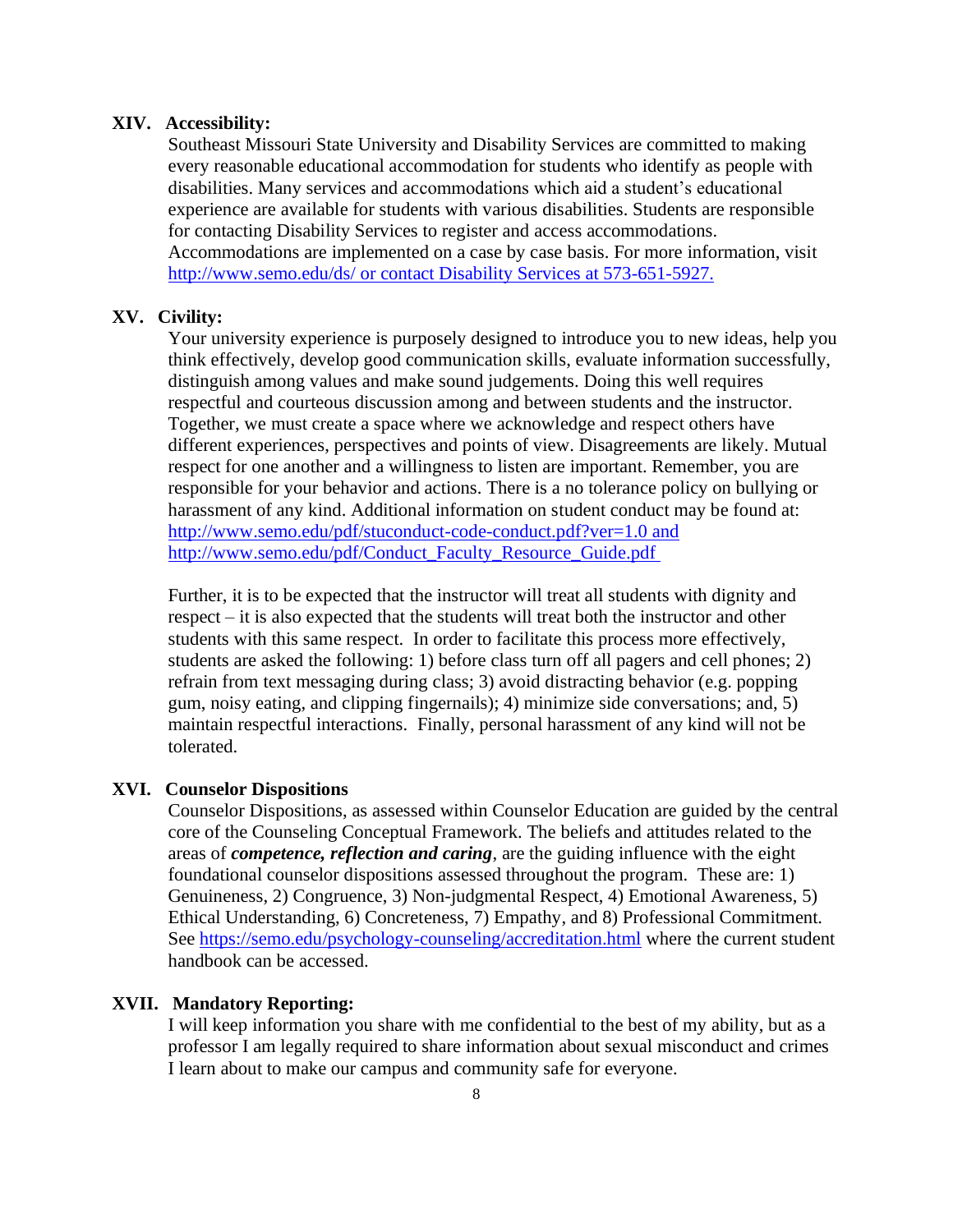### **XIV. Accessibility:**

Southeast Missouri State University and Disability Services are committed to making every reasonable educational accommodation for students who identify as people with disabilities. Many services and accommodations which aid a student's educational experience are available for students with various disabilities. Students are responsible for contacting Disability Services to register and access accommodations. Accommodations are implemented on a case by case basis. For more information, visit <http://www.semo.edu/ds/> or contact Disability Services at 573-651-5927.

# **XV. Civility:**

Your university experience is purposely designed to introduce you to new ideas, help you think effectively, develop good communication skills, evaluate information successfully, distinguish among values and make sound judgements. Doing this well requires respectful and courteous discussion among and between students and the instructor. Together, we must create a space where we acknowledge and respect others have different experiences, perspectives and points of view. Disagreements are likely. Mutual respect for one another and a willingness to listen are important. Remember, you are responsible for your behavior and actions. There is a no tolerance policy on bullying or harassment of any kind. Additional information on student conduct may be found at: <http://www.semo.edu/pdf/stuconduct-code-conduct.pdf?ver=1.0> and [http://www.semo.edu/pdf/Conduct\\_Faculty\\_Resource\\_Guide.pdf](http://www.semo.edu/pdf/Conduct_Faculty_Resource_Guide.pdf)

Further, it is to be expected that the instructor will treat all students with dignity and respect – it is also expected that the students will treat both the instructor and other students with this same respect. In order to facilitate this process more effectively, students are asked the following: 1) before class turn off all pagers and cell phones; 2) refrain from text messaging during class; 3) avoid distracting behavior (e.g. popping gum, noisy eating, and clipping fingernails); 4) minimize side conversations; and, 5) maintain respectful interactions. Finally, personal harassment of any kind will not be tolerated.

### **XVI. Counselor Dispositions**

Counselor Dispositions, as assessed within Counselor Education are guided by the central core of the Counseling Conceptual Framework. The beliefs and attitudes related to the areas of *competence, reflection and caring*, are the guiding influence with the eight foundational counselor dispositions assessed throughout the program. These are: 1) Genuineness, 2) Congruence, 3) Non-judgmental Respect, 4) Emotional Awareness, 5) Ethical Understanding, 6) Concreteness, 7) Empathy, and 8) Professional Commitment. See<https://semo.edu/psychology-counseling/accreditation.html> where the current student handbook can be accessed.

### **XVII. Mandatory Reporting:**

I will keep information you share with me confidential to the best of my ability, but as a professor I am legally required to share information about sexual misconduct and crimes I learn about to make our campus and community safe for everyone.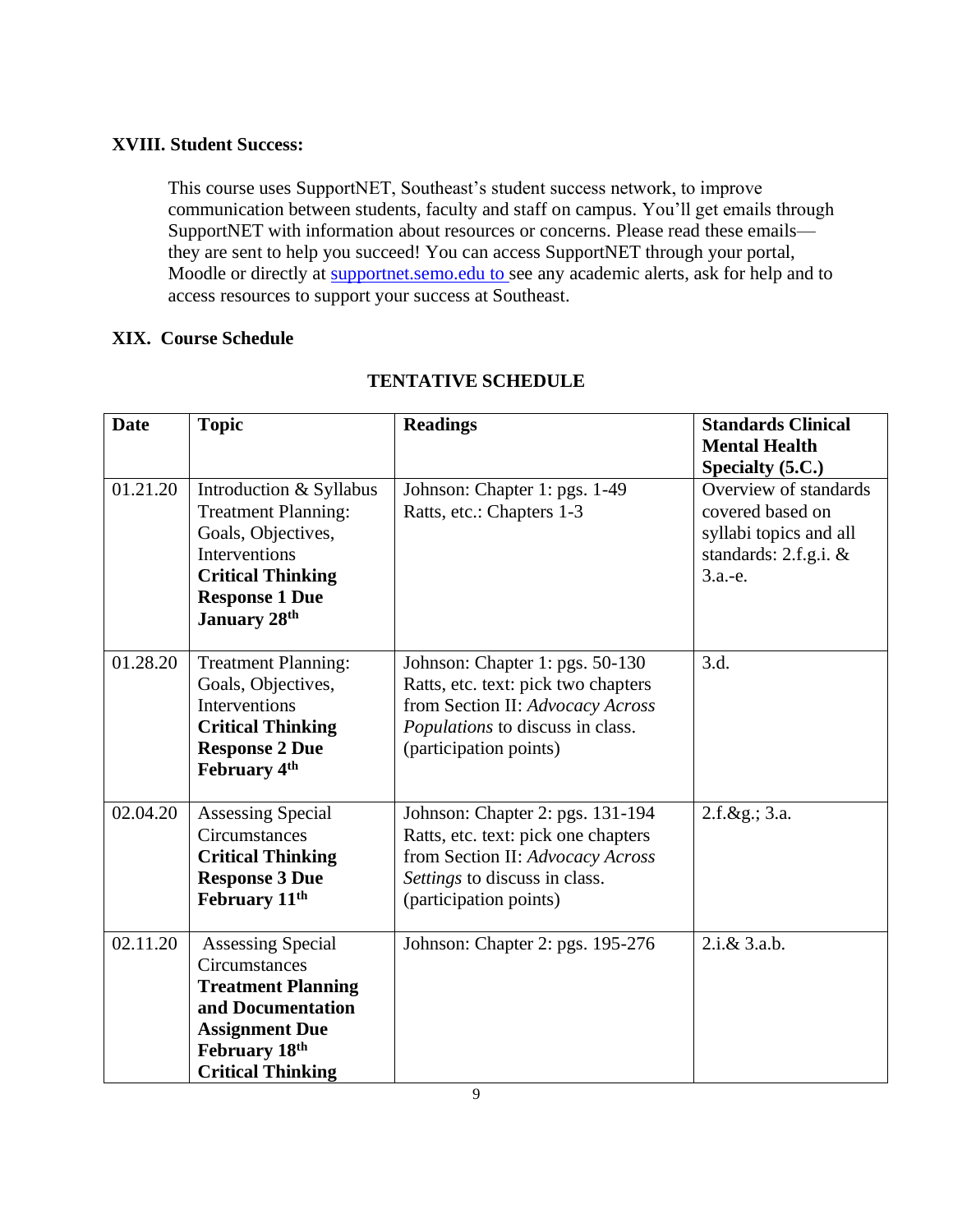# **XVIII. Student Success:**

This course uses SupportNET, Southeast's student success network, to improve communication between students, faculty and staff on campus. You'll get emails through SupportNET with information about resources or concerns. Please read these emails they are sent to help you succeed! You can access SupportNET through your portal, Moodle or directly at [supportnet.semo.edu](http://supportnet.semo.edu/) to see any academic alerts, ask for help and to access resources to support your success at Southeast.

# **XIX. Course Schedule**

| <b>Date</b> | <b>Topic</b>                                                                                                                                                             | <b>Readings</b>                                                                                                                                                          | <b>Standards Clinical</b><br><b>Mental Health</b>                                                            |
|-------------|--------------------------------------------------------------------------------------------------------------------------------------------------------------------------|--------------------------------------------------------------------------------------------------------------------------------------------------------------------------|--------------------------------------------------------------------------------------------------------------|
|             |                                                                                                                                                                          |                                                                                                                                                                          | Specialty (5.C.)                                                                                             |
| 01.21.20    | Introduction & Syllabus<br><b>Treatment Planning:</b><br>Goals, Objectives,<br>Interventions<br><b>Critical Thinking</b><br><b>Response 1 Due</b><br><b>January 28th</b> | Johnson: Chapter 1: pgs. 1-49<br>Ratts, etc.: Chapters 1-3                                                                                                               | Overview of standards<br>covered based on<br>syllabi topics and all<br>standards: 2.f.g.i. $\&$<br>$3.a.-e.$ |
| 01.28.20    | <b>Treatment Planning:</b><br>Goals, Objectives,<br>Interventions<br><b>Critical Thinking</b><br><b>Response 2 Due</b><br>February 4th                                   | Johnson: Chapter 1: pgs. 50-130<br>Ratts, etc. text: pick two chapters<br>from Section II: Advocacy Across<br>Populations to discuss in class.<br>(participation points) | 3.d.                                                                                                         |
| 02.04.20    | Assessing Special<br>Circumstances<br><b>Critical Thinking</b><br><b>Response 3 Due</b><br>February 11 <sup>th</sup>                                                     | Johnson: Chapter 2: pgs. 131-194<br>Ratts, etc. text: pick one chapters<br>from Section II: Advocacy Across<br>Settings to discuss in class.<br>(participation points)   | $2.f. \&g. 3.a.$                                                                                             |
| 02.11.20    | <b>Assessing Special</b><br>Circumstances<br><b>Treatment Planning</b><br>and Documentation<br><b>Assignment Due</b><br>February 18th<br><b>Critical Thinking</b>        | Johnson: Chapter 2: pgs. 195-276                                                                                                                                         | $2.i.\&3.a.b.$                                                                                               |

# **TENTATIVE SCHEDULE**